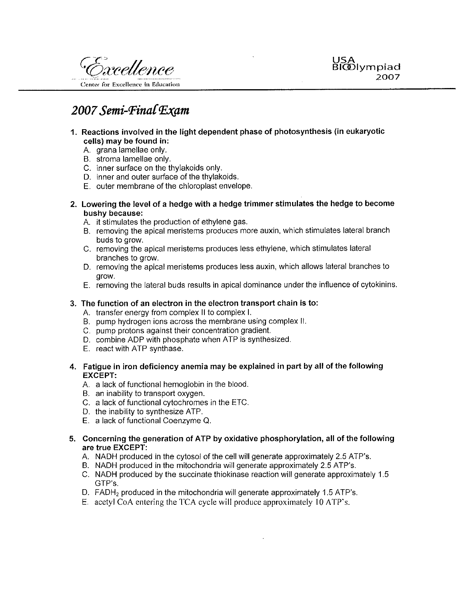

# 2007 Semi-Final Exam

- 1. Reactions involved in the light dependent phase of photosynthesis (in eukaryotic cells) may be found in:
	- A grana lamellae only.
	- B. stroma lamellae only.
	- C. inner surface on the thylakoids only.
	- D. inner and outer surface of the thylakoids.
	- E. outer membrane of the chloroplast envelope.
- 2. Lowering the level of a hedge with a hedge trimmer stimulates the hedge to become bushy because:
	- A. it stimulates the production of ethylene gas.
	- B. removing the apical meristems produces more auxin, which stimulates lateral branch buds to grow.
	- C. removing the apical meristems produces less ethylene, which stimulates lateral branches to grow.
	- D. removing the apical meristems produces less auxin, which allows lateral branches to arow.
	- E. removing the lateral buds results in apical dominance under the influence of cytokinins.

#### 3. The function of an electron in the electron transport chain is to:

- A. transfer energy from complex II to complex I.
- B. pump hydrogen ions across the membrane using complex II.
- C. pump protons against their concentration gradient.
- D. combine ADP with phosphate when ATP is synthesized.
- E. react with ATP synthase.
- 4. Fatique in iron deficiency anemia may be explained in part by all of the following **EXCEPT:** 
	- A. a lack of functional hemoglobin in the blood.
	- B. an inability to transport oxygen.
	- C. a lack of functional cytochromes in the ETC.
	- D. the inability to synthesize ATP.
	- E. a lack of functional Coenzyme Q.
- 5. Concerning the generation of ATP by oxidative phosphorylation, all of the following are true EXCEPT:
	- A. NADH produced in the cytosol of the cell will generate approximately 2.5 ATP's.
	- B. NADH produced in the mitochondria will generate approximately 2.5 ATP's.
	- C. NADH produced by the succinate thiokinase reaction will generate approximately 1.5 GTP's.
	- D. FADH<sub>2</sub> produced in the mitochondria will generate approximately 1.5 ATP's.
	- E. acetyl CoA entering the TCA cycle will produce approximately 10 ATP's.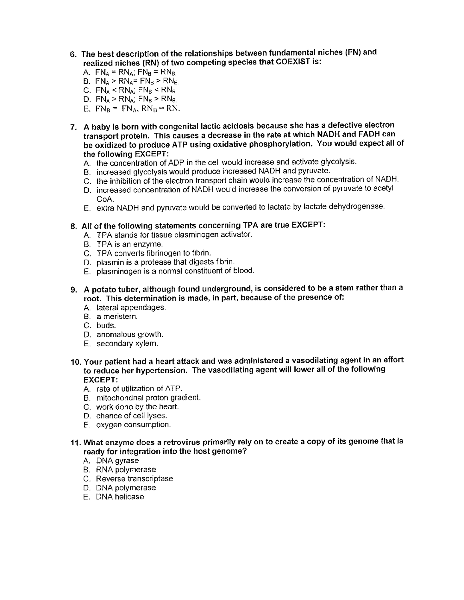- 6. The best description of the relationships between fundamental niches (FN) and realized niches (RN) of two competing species that COEXIST is:
	- A.  $FN_A = RN_A$ ;  $FN_B = RN_B$ .
	- B.  $FN_A > RN_A = FN_B > RN_B$
	- C.  $FN_A < RN_A$ ;  $FN_B < RN_B$ .
	- D.  $FN_A > RN_A$ ;  $FN_B > RN_B$ .
	- E.  $FN_B = FN_A$ ,  $RN_B = RN$ .
- 7. A baby is born with congenital lactic acidosis because she has a defective electron transport protein. This causes a decrease in the rate at which NADH and FADH can be oxidized to produce ATP using oxidative phosphorylation. You would expect all of the following EXCEPT:
	- A. the concentration of ADP in the cell would increase and activate glycolysis.
	- B. increased glycolysis would produce increased NADH and pyruvate.
	- C. the inhibition of the electron transport chain would increase the concentration of NADH.
	- D. increased concentration of NADH would increase the conversion of pyruvate to acetyl CoA.
	- E. extra NADH and pyruvate would be converted to lactate by lactate dehydrogenase.
- 8. All of the following statements concerning TPA are true EXCEPT:
	- A. TPA stands for tissue plasminogen activator.
	- B. TPA is an enzyme.
	- C. TPA converts fibrinogen to fibrin.
	- D. plasmin is a protease that digests fibrin.
	- E. plasminogen is a normal constituent of blood.
- 9. A potato tuber, although found underground, is considered to be a stem rather than a root. This determination is made, in part, because of the presence of:
	- A. lateral appendages.
	- B. a meristem.
	- C. buds.
	- D. anomalous growth.
	- E. secondary xylem.
- 10. Your patient had a heart attack and was administered a vasodilating agent in an effort to reduce her hypertension. The vasodilating agent will lower all of the following **EXCEPT:** 
	- A. rate of utilization of ATP.
	- B. mitochondrial proton gradient.
	- C. work done by the heart.
	- D. chance of cell lyses.
	- E. oxygen consumption.
- 11. What enzyme does a retrovirus primarily rely on to create a copy of its genome that is ready for integration into the host genome?
	- A. DNA gyrase
	- **B.** RNA polymerase
	- C. Reverse transcriptase
	- D. DNA polymerase
	- E. DNA helicase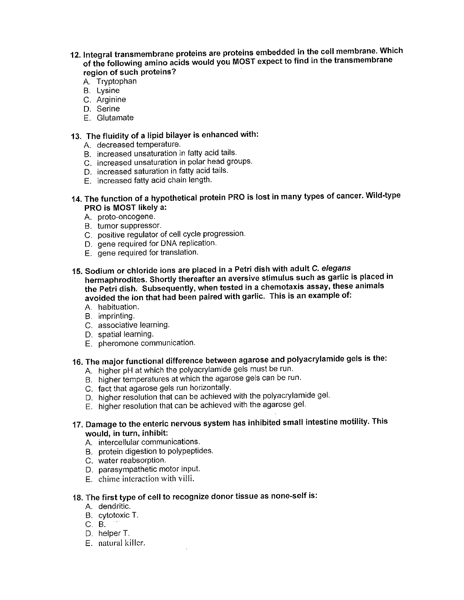- 12. Integral transmembrane proteins are proteins embedded in the cell membrane. Which of the following amino acids would you MOST expect to find in the transmembrane region of such proteins?
	- A. Tryptophan
	- **B.** Lysine
	- C. Arginine
	- D. Serine
	- F. Glutamate

### 13. The fluidity of a lipid bilayer is enhanced with:

- A. decreased temperature.
- B. increased unsaturation in fatty acid tails.
- C. increased unsaturation in polar head groups.
- D. increased saturation in fatty acid tails.
- E. increased fatty acid chain length.

### 14. The function of a hypothetical protein PRO is lost in many types of cancer. Wild-type PRO is MOST likely a:

- A. proto-oncogene.
- B. tumor suppressor.
- C. positive regulator of cell cycle progression.
- D. gene required for DNA replication.
- E. gene required for translation.
- 15. Sodium or chloride ions are placed in a Petri dish with adult C. elegans hermaphrodites. Shortly thereafter an aversive stimulus such as garlic is placed in the Petri dish. Subsequently, when tested in a chemotaxis assay, these animals avoided the ion that had been paired with garlic. This is an example of:
	- A habituation.
	- B. imprinting.
	- C. associative learning.
	- D. spatial learning.
	- E. pheromone communication.

# 16. The major functional difference between agarose and polyacrylamide gels is the:

- A. higher pH at which the polyacrylamide gels must be run.
- B. higher temperatures at which the agarose gels can be run.
- C. fact that agarose gels run horizontally.
- D. higher resolution that can be achieved with the polyacrylamide gel.
- E. higher resolution that can be achieved with the agarose gel.

#### 17. Damage to the enteric nervous system has inhibited small intestine motility. This would, in turn, inhibit:

- A. intercellular communications.
- B. protein digestion to polypeptides.
- C. water reabsorption.
- D. parasympathetic motor input.
- $\mathsf{F}$  chime interaction with villi.

#### 18. The first type of cell to recognize donor tissue as none-self is:

- A. dendritic.
- B. cytotoxic T.
- $C. B.$
- D. helper T.
- E. natural killer.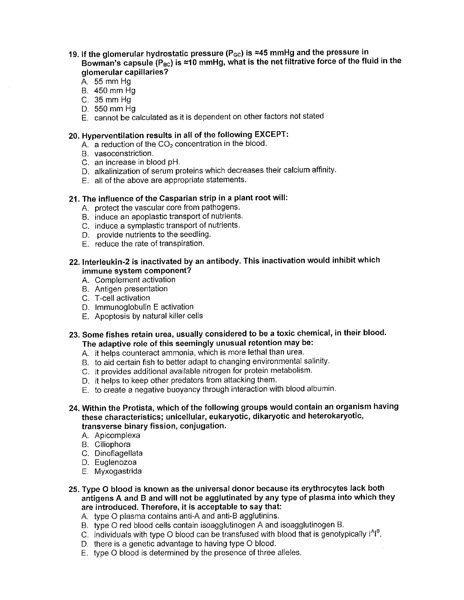- 19. If the glomerular hydrostatic pressure ( $P_{\text{GC}}$ ) is  $\approx$ 45 mmHg and the pressure in Bowman's capsule (P<sub>BC</sub>) is  $\approx$ 10 mmHg, what is the net filtrative force of the fluid in the glomerular capillaries?
	- A. 55 mm Hg
	- B. 450 mm Hg
	- C. 35 mm Hg
	- D. 550 mm Hq
	- E. cannot be calculated as it is dependent on other factors not stated

#### 20. Hyperventilation results in all of the following EXCEPT:

- $A<sub>1</sub>$  a reduction of the  $CO<sub>2</sub>$  concentration in the blood.
- B. vasoconstriction.
- C. an increase in blood pH.
- D. alkalinization of serum proteins which decreases their calcium affinity.
- E. all of the above are appropriate statements.

#### 21. The influence of the Casparian strip in a plant root will:

- A. protect the vascular core from pathogens.
- B. induce an apoplastic transport of nutrients.
- C. induce a symplastic transport of nutrients.
- D. provide nutrients to the seedling.
- E. reduce the rate of transpiration.
- 22. Interleukin-2 is inactivated by an antibody. This inactivation would inhibit which immune system component?
	- A. Complement activation
	- B. Antigen presentation
	- C. T-cell activation
	- D. Immunoglobulin E activation
	- E. Apoptosis by natural killer cells
- 23. Some fishes retain urea, usually considered to be a toxic chemical, in their blood. The adaptive role of this seemingly unusual retention may be:
	- A. it helps counteract ammonia, which is more lethal than urea.
	- B. to aid certain fish to better adapt to changing environmental salinity.
	- C. it provides additional available nitrogen for protein metabolism.
	- D. it helps to keep other predators from attacking them.
	- E. to create a negative buoyancy through interaction with blood albumin.
- 24. Within the Protista, which of the following groups would contain an organism having these characteristics; unicellular, eukaryotic, dikaryotic and heterokaryotic, transverse binary fission, conjugation.
	- A. Apicomplexa
	- B. Ciliophora
	- C. Dinoflagellata
	- D. Euglenozoa
	- E. Myxogastrida
- 25. Type O blood is known as the universal donor because its erythrocytes lack both antigens A and B and will not be agglutinated by any type of plasma into which they are introduced. Therefore, it is acceptable to say that:
	- A. type O plasma contains anti-A and anti-B agglutinins.
	- B. type O red blood cells contain isoagglutinogen A and isoagglutinogen B.
	- C. individuals with type O blood can be transfused with blood that is genotypically  $1^{A}1^{B}$ .
	- D. there is a genetic advantage to having type O blood.
	- E. type O blood is determined by the presence of three alleles.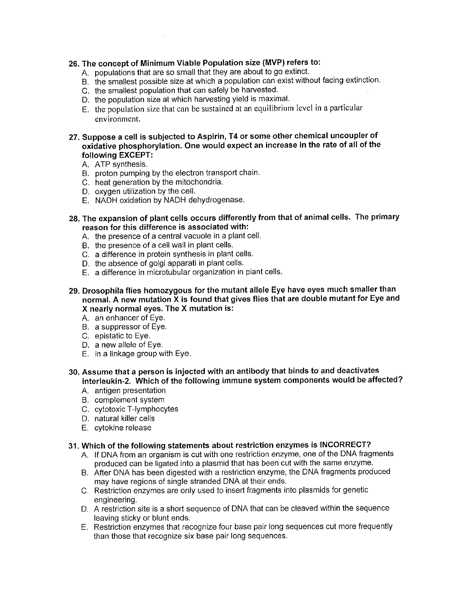#### 26. The concept of Minimum Viable Population size (MVP) refers to:

- A. populations that are so small that they are about to go extinct.
- B. the smallest possible size at which a population can exist without facing extinction.
- C. the smallest population that can safely be harvested.
- D. the population size at which harvesting yield is maximal.
- E. the population size that can be sustained at an equilibrium level in a particular environment.
- 27. Suppose a cell is subjected to Aspirin, T4 or some other chemical uncoupler of oxidative phosphorylation. One would expect an increase in the rate of all of the following EXCEPT:
	- A. ATP synthesis.
	- B. proton pumping by the electron transport chain.
	- C. heat generation by the mitochondria.
	- D. oxygen utilization by the cell.
	- E. NADH oxidation by NADH dehydrogenase.
- 28. The expansion of plant cells occurs differently from that of animal cells. The primary reason for this difference is associated with:
	- A. the presence of a central vacuole in a plant cell.
	- B. the presence of a cell wall in plant cells.
	- C. a difference in protein synthesis in plant cells.
	- D. the absence of golgi apparati in plant cells.
	- E. a difference in microtubular organization in plant cells.
- 29. Drosophila flies homozygous for the mutant allele Eye have eyes much smaller than normal. A new mutation X is found that gives flies that are double mutant for Eye and X nearly normal eyes. The X mutation is:
	- A. an enhancer of Eye.
	- B. a suppressor of Eye.
	- C. epistatic to Eye.
	- D. a new allele of Eye.
	- E. in a linkage group with Eye.
- 30. Assume that a person is injected with an antibody that binds to and deactivates interleukin-2. Which of the following immune system components would be affected?
	- A. antigen presentation
	- B. complement system
	- C. cytotoxic T-lymphocytes
	- D. natural killer cells
	- E. cytokine release

#### 31. Which of the following statements about restriction enzymes is INCORRECT?

- A. If DNA from an organism is cut with one restriction enzyme, one of the DNA fragments produced can be ligated into a plasmid that has been cut with the same enzyme.
- B. After DNA has been digested with a restriction enzyme, the DNA fragments produced may have regions of single stranded DNA at their ends.
- C. Restriction enzymes are only used to insert fragments into plasmids for genetic engineering.
- D. A restriction site is a short sequence of DNA that can be cleaved within the sequence leaving sticky or blunt ends.
- E. Restriction enzymes that recognize four base pair long sequences cut more frequently than those that recognize six base pair long sequences.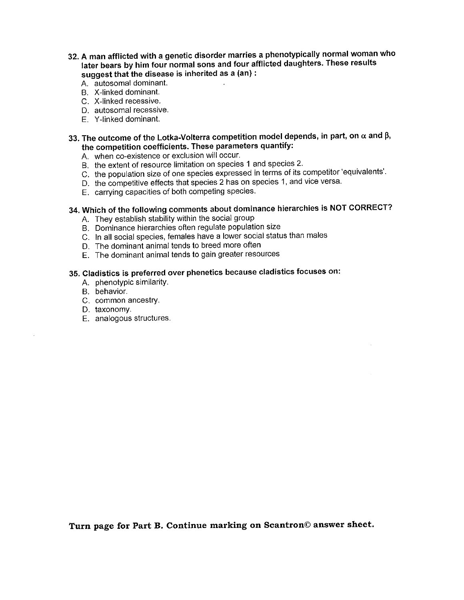- 32. A man afflicted with a genetic disorder marries a phenotypically normal woman who later bears by him four normal sons and four afflicted daughters. These results suggest that the disease is inherited as a (an) :
	- A. autosomal dominant.
	- B. X-linked dominant.
	- C. X-linked recessive.
	- D. autosomal recessive.
	- E. Y-linked dominant.
- 33. The outcome of the Lotka-Volterra competition model depends, in part, on  $\alpha$  and  $\beta$ , the competition coefficients. These parameters quantify:
	- A. when co-existence or exclusion will occur.
	- B. the extent of resource limitation on species 1 and species 2.
	- C. the population size of one species expressed in terms of its competitor 'equivalents'.
	- D. the competitive effects that species 2 has on species 1, and vice versa.
	- E. carrying capacities of both competing species.

## 34. Which of the following comments about dominance hierarchies is NOT CORRECT?

- A. They establish stability within the social group
- B. Dominance hierarchies often regulate population size
- C. In all social species, females have a lower social status than males
- D. The dominant animal tends to breed more often
- E. The dominant animal tends to gain greater resources

## 35. Cladistics is preferred over phenetics because cladistics focuses on:

- A. phenotypic similarity.
- B. behavior.
- C. common ancestry.
- D. taxonomy.
- E. analogous structures.

Turn page for Part B. Continue marking on Scantron© answer sheet.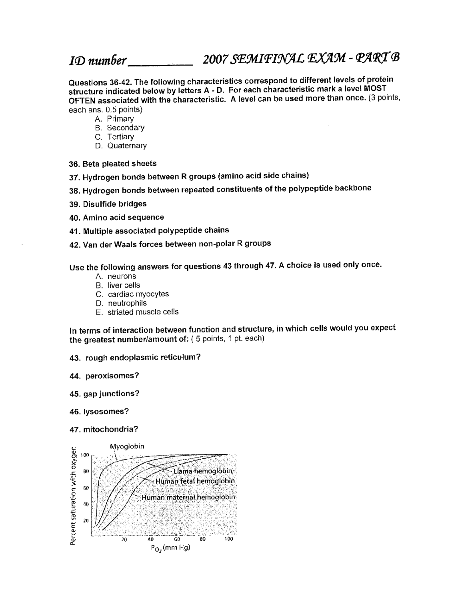ID number

2007 SEMIFINAL EXAM - PART B

Questions 36-42. The following characteristics correspond to different levels of protein structure indicated below by letters A - D. For each characteristic mark a level MOST OFTEN associated with the characteristic. A level can be used more than once. (3 points, each ans, 0.5 points)

- A. Primary
- **B.** Secondary
- C. Tertiarv
- D. Quaternary
- 36. Beta pleated sheets
- 37. Hydrogen bonds between R groups (amino acid side chains)
- 38. Hydrogen bonds between repeated constituents of the polypeptide backbone
- 39. Disulfide bridges
- 40. Amino acid sequence
- 41. Multiple associated polypeptide chains
- 42. Van der Waals forces between non-polar R groups

Use the following answers for questions 43 through 47. A choice is used only once.

- A. neurons
- B. liver cells
- C. cardiac myocytes
- D. neutrophils
- E. striated muscle cells

In terms of interaction between function and structure, in which cells would you expect the greatest number/amount of: (5 points, 1 pt. each)

- 43. rough endoplasmic reticulum?
- 44. peroxisomes?
- 45. gap junctions?
- 46. lysosomes?
- 47. mitochondria?

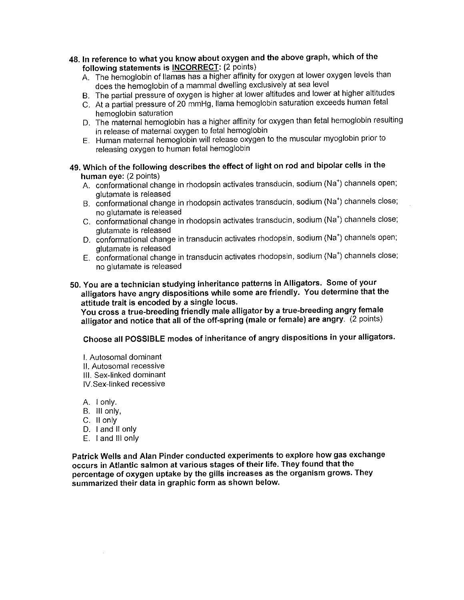- 48. In reference to what you know about oxygen and the above graph, which of the following statements is INCORRECT: (2 points)
	- A. The hemoglobin of Ilamas has a higher affinity for oxygen at lower oxygen levels than does the hemoglobin of a mammal dwelling exclusively at sea level
	- B. The partial pressure of oxygen is higher at lower altitudes and lower at higher altitudes
	- C. At a partial pressure of 20 mmHg, Ilama hemoglobin saturation exceeds human fetal hemoglobin saturation
	- D. The maternal hemoglobin has a higher affinity for oxygen than fetal hemoglobin resulting in release of maternal oxygen to fetal hemoglobin
	- E. Human maternal hemoglobin will release oxygen to the muscular myoglobin prior to releasing oxygen to human fetal hemoglobin
- 49. Which of the following describes the effect of light on rod and bipolar cells in the human eye: (2 points)
	- A. conformational change in rhodopsin activates transducin, sodium (Na<sup>+</sup>) channels open; glutamate is released
	- B. conformational change in rhodopsin activates transducin, sodium (Na<sup>+</sup>) channels close; no glutamate is released
	- C. conformational change in rhodopsin activates transducin, sodium (Na<sup>+</sup>) channels close; alutamate is released
	- D. conformational change in transducin activates rhodopsin, sodium (Na<sup>+</sup>) channels open; glutamate is released
	- E. conformational change in transducin activates rhodopsin, sodium (Na<sup>+</sup>) channels close; no alutamate is released
- 50. You are a technician studying inheritance patterns in Alligators. Some of your alligators have angry dispositions while some are friendly. You determine that the attitude trait is encoded by a single locus.

You cross a true-breeding friendly male alligator by a true-breeding angry female alligator and notice that all of the off-spring (male or female) are angry. (2 points)

Choose all POSSIBLE modes of inheritance of angry dispositions in your alligators.

- I. Autosomal dominant II. Autosomal recessive
- III. Sex-linked dominant
- IV.Sex-linked recessive
- A. I only.
- B. III only,
- C. II only
- D. I and II only
- $E.$  I and III only

Patrick Wells and Alan Pinder conducted experiments to explore how gas exchange occurs in Atlantic salmon at various stages of their life. They found that the percentage of oxygen uptake by the gills increases as the organism grows. They summarized their data in graphic form as shown below.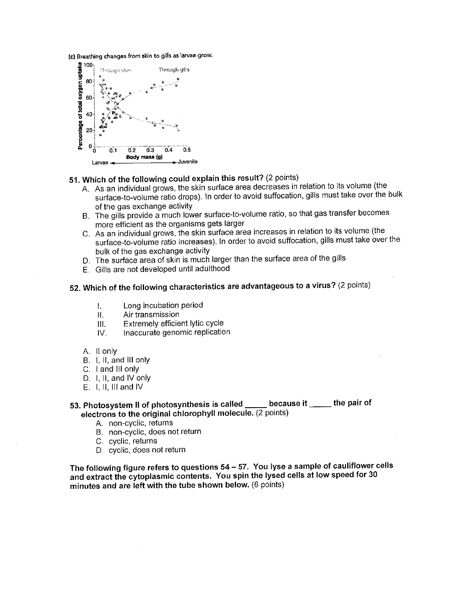(c) Breathing changes from skin to gills as larvae grow.



### 51. Which of the following could explain this result? (2 points)

- A. As an individual grows, the skin surface area decreases in relation to its volume (the surface-to-volume ratio drops). In order to avoid suffocation, gills must take over the bulk of the gas exchange activity
- B. The gills provide a much lower surface-to-volume ratio, so that gas transfer becomes more efficient as the organisms gets larger
- C. As an individual grows, the skin surface area increases in relation to its volume (the surface-to-volume ratio increases). In order to avoid suffocation, gills must take over the bulk of the gas exchange activity
- D. The surface area of skin is much larger than the surface area of the gills
- E. Gills are not developed until adulthood

# 52. Which of the following characteristics are advantageous to a virus? (2 points)

- Long incubation period  $\mathbf{L}$
- $\Pi$ . Air transmission
- Extremely efficient lytic cycle Ш.
- Inaccurate genomic replication  $W_{\cdot}$
- A. Il only
- B. I. II, and III only
- C. I and III only
- D. I. II. and IV only
- $E.$  I, II, III and IV

#### because it \_\_\_\_\_\_ the pair of 53. Photosystem II of photosynthesis is called \_\_\_\_\_ electrons to the original chlorophyll molecule. (2 points)

- A. non-cyclic, returns
- B. non-cyclic, does not return
- C. cyclic, returns
- D. cyclic, does not return

The following figure refers to questions 54 - 57. You lyse a sample of cauliflower cells and extract the cytoplasmic contents. You spin the lysed cells at low speed for 30 minutes and are left with the tube shown below. (6 points)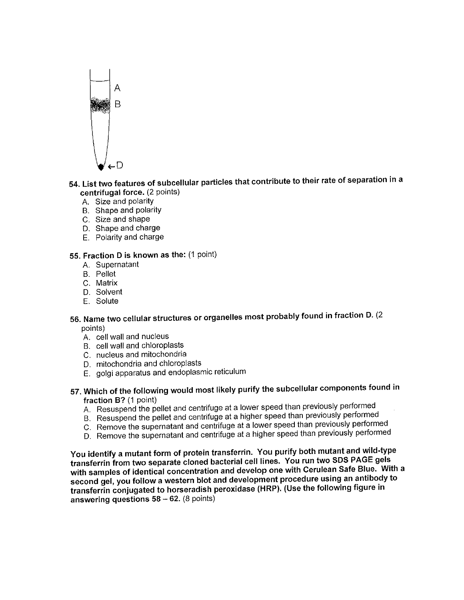

### 54. List two features of subcellular particles that contribute to their rate of separation in a centrifugal force. (2 points)

- A. Size and polarity
- B. Shape and polarity
- C. Size and shape
- D. Shape and charge
- E. Polarity and charge

#### 55. Fraction D is known as the: (1 point)

- A. Supernatant
- **B.** Pellet
- C. Matrix
- D. Solvent
- F. Solute

### 56. Name two cellular structures or organelles most probably found in fraction D. (2 points)

- A. cell wall and nucleus
- B. cell wall and chloroplasts
- C. nucleus and mitochondria
- D. mitochondria and chloroplasts
- E. golgi apparatus and endoplasmic reticulum
- 57. Which of the following would most likely purify the subcellular components found in fraction B? (1 point)
	- A. Resuspend the pellet and centrifuge at a lower speed than previously performed
	- B. Resuspend the pellet and centrifuge at a higher speed than previously performed
	- C. Remove the supernatant and centrifuge at a lower speed than previously performed
	- D. Remove the supernatant and centrifuge at a higher speed than previously performed

You identify a mutant form of protein transferrin. You purify both mutant and wild-type transferrin from two separate cloned bacterial cell lines. You run two SDS PAGE gels with samples of identical concentration and develop one with Cerulean Safe Blue. With a second gel, you follow a western blot and development procedure using an antibody to transferrin conjugated to horseradish peroxidase (HRP). (Use the following figure in answering questions  $58 - 62$ . (8 points)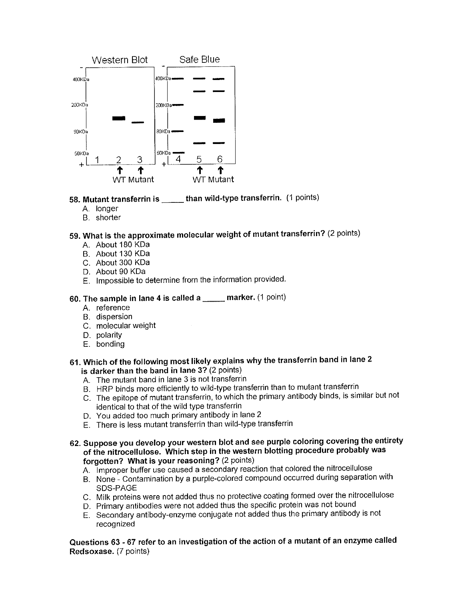

### 58. Mutant transferrin is \_\_\_\_\_\_ than wild-type transferrin. (1 points)

- A. longer
- B. shorter

### 59. What is the approximate molecular weight of mutant transferrin? (2 points)

- A. About 180 KDa
- B. About 130 KDa
- C. About 300 KDa
- D. About 90 KDa
- E. Impossible to determine from the information provided.

### 60. The sample in lane 4 is called a \_\_\_\_\_ marker. (1 point)

- A reference
- **B.** dispersion
- C. molecular weight
- D. polarity
- E. bonding

#### 61. Which of the following most likely explains why the transferrin band in lane 2 is darker than the band in lane 3? (2 points)

- A. The mutant band in lane 3 is not transferrin
- B. HRP binds more efficiently to wild-type transferrin than to mutant transferrin
- C. The epitope of mutant transferrin, to which the primary antibody binds, is similar but not identical to that of the wild type transferrin
- D. You added too much primary antibody in lane 2
- E. There is less mutant transferrin than wild-type transferrin
- 62. Suppose you develop your western blot and see purple coloring covering the entirety of the nitrocellulose. Which step in the western blotting procedure probably was forgotten? What is your reasoning? (2 points)
	- A. Improper buffer use caused a secondary reaction that colored the nitrocellulose
	- B. None Contamination by a purple-colored compound occurred during separation with SDS-PAGE
	- C. Milk proteins were not added thus no protective coating formed over the nitrocellulose
	- D. Primary antibodies were not added thus the specific protein was not bound
	- E. Secondary antibody-enzyme conjugate not added thus the primary antibody is not recognized

Questions 63 - 67 refer to an investigation of the action of a mutant of an enzyme called Redsoxase. (7 points)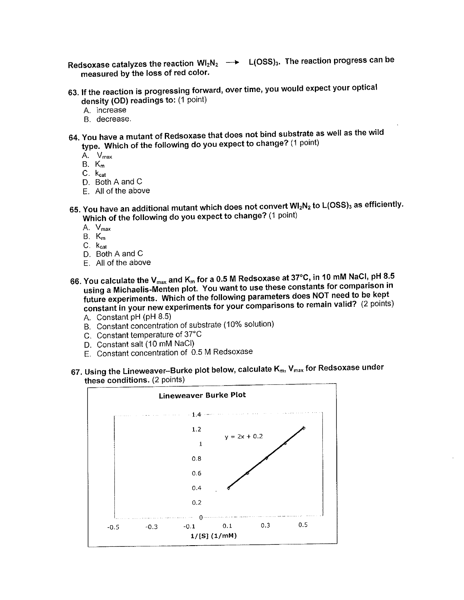Redsoxase catalyzes the reaction  $Wl_2N_2 \longrightarrow L(OSS)_3$ . The reaction progress can be measured by the loss of red color.

- 63. If the reaction is progressing forward, over time, you would expect your optical density (OD) readings to: (1 point)
	- A. increase
	- B decrease.
- 64. You have a mutant of Redsoxase that does not bind substrate as well as the wild type. Which of the following do you expect to change? (1 point)
	- A. V<sub>max</sub>
	- $B. K_m$
	- $C.$   $k_{cat}$
	- D. Both A and C
	- E. All of the above
- 65. You have an additional mutant which does not convert WI<sub>2</sub>N<sub>2</sub> to L(OSS)<sub>3</sub> as efficiently. Which of the following do you expect to change? (1 point)
	- A. V<sub>max</sub>
	- $B. K_m$
	- $C$   $K_{cat}$
	- D. Both A and C
	- F. All of the above
- 66. You calculate the  $V_{max}$  and  $K_m$  for a 0.5 M Redsoxase at 37°C, in 10 mM NaCl, pH 8.5 using a Michaelis-Menten plot. You want to use these constants for comparison in future experiments. Which of the following parameters does NOT need to be kept constant in your new experiments for your comparisons to remain valid? (2 points)
	- A. Constant pH (pH 8.5)
	- B. Constant concentration of substrate (10% solution)
	- C. Constant temperature of 37°C
	- D. Constant salt (10 mM NaCl)
	- E. Constant concentration of 0.5 M Redsoxase
- 67. Using the Lineweaver--Burke plot below, calculate K<sub>m</sub>, V<sub>max</sub> for Redsoxase under these conditions. (2 points)

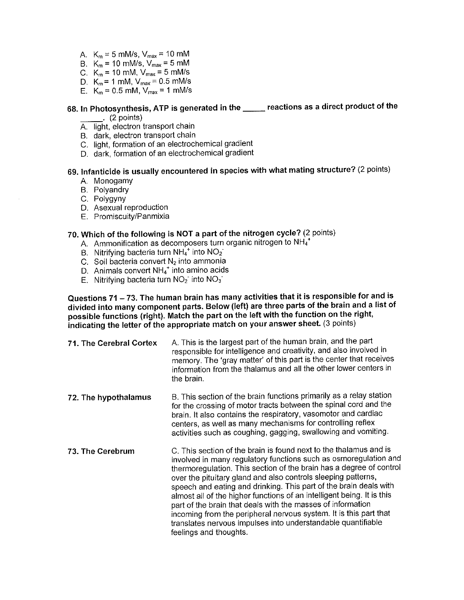- A.  $K_m = 5$  mM/s,  $V_{max} = 10$  mM
- B.  $K_m = 10$  mM/s,  $V_{max} = 5$  mM
- C.  $K_m = 10$  mM,  $V_{max} = 5$  mM/s
- D.  $K_m = 1$  mM,  $V_{max} = 0.5$  mM/s
- E.  $K_m = 0.5$  mM,  $V_{max} = 1$  mM/s

## 68. In Photosynthesis, ATP is generated in the \_\_\_\_\_ reactions as a direct product of the

- $(2 points)$
- A. light, electron transport chain
- B. dark, electron transport chain
- C. light, formation of an electrochemical gradient
- D. dark, formation of an electrochemical gradient

### 69. Infanticide is usually encountered in species with what mating structure? (2 points)

- A. Monogamy
- B. Polyandry
- C. Polygyny
- D. Asexual reproduction
- E. Promiscuity/Panmixia

#### 70. Which of the following is NOT a part of the nitrogen cycle? (2 points)

- A. Ammonification as decomposers turn organic nitrogen to NH<sub>4</sub><sup>1</sup>
- B. Nitrifying bacteria turn NH4<sup>+</sup> into NO<sub>2</sub>
- C. Soil bacteria convert N<sub>2</sub> into ammonia
- D. Animals convert NH4<sup>+</sup> into amino acids
- E. Nitrifying bacteria turn  $NO<sub>2</sub>$  into  $NO<sub>3</sub>$

Questions 71 - 73. The human brain has many activities that it is responsible for and is divided into many component parts. Below (left) are three parts of the brain and a list of possible functions (right). Match the part on the left with the function on the right, indicating the letter of the appropriate match on your answer sheet. (3 points)

- A. This is the largest part of the human brain, and the part 71. The Cerebral Cortex responsible for intelligence and creativity, and also involved in memory. The 'gray matter' of this part is the center that receives information from the thalamus and all the other lower centers in the brain.
- B. This section of the brain functions primarily as a relay station 72. The hypothalamus for the crossing of motor tracts between the spinal cord and the brain. It also contains the respiratory, vasomotor and cardiac centers, as well as many mechanisms for controlling reflex activities such as coughing, gagging, swallowing and vomiting.
- C. This section of the brain is found next to the thalamus and is 73. The Cerebrum involved in many regulatory functions such as osmoregulation and thermoregulation. This section of the brain has a degree of control over the pituitary gland and also controls sleeping patterns, speech and eating and drinking. This part of the brain deals with almost all of the higher functions of an intelligent being. It is this part of the brain that deals with the masses of information incoming from the peripheral nervous system. It is this part that translates nervous impulses into understandable quantifiable feelings and thoughts.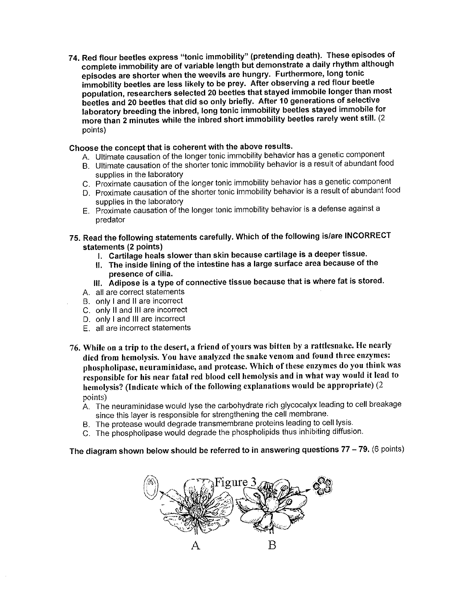74. Red flour beetles express "tonic immobility" (pretending death). These episodes of complete immobility are of variable length but demonstrate a daily rhythm although episodes are shorter when the weevils are hungry. Furthermore, long tonic immobility beetles are less likely to be prey. After observing a red flour beetle population, researchers selected 20 beetles that stayed immobile longer than most beetles and 20 beetles that did so only briefly. After 10 generations of selective laboratory breeding the inbred, long tonic immobility beetles stayed immobile for more than 2 minutes while the inbred short immobility beetles rarely went still. (2 points)

#### Choose the concept that is coherent with the above results.

- A. Ultimate causation of the longer tonic immobility behavior has a genetic component
- B. Ultimate causation of the shorter tonic immobility behavior is a result of abundant food supplies in the laboratory
- C. Proximate causation of the longer tonic immobility behavior has a genetic component
- D. Proximate causation of the shorter tonic immobility behavior is a result of abundant food supplies in the laboratory
- E. Proximate causation of the longer tonic immobility behavior is a defense against a predator
- 75. Read the following statements carefully. Which of the following is/are INCORRECT statements (2 points)
	- I. Cartilage heals slower than skin because cartilage is a deeper tissue.
	- II. The inside lining of the intestine has a large surface area because of the presence of cilia.
	- III. Adipose is a type of connective tissue because that is where fat is stored.
	- A. all are correct statements
	- B. only I and II are incorrect
	- C. only II and III are incorrect
	- D. only I and III are incorrect
	- E. all are incorrect statements
- 76. While on a trip to the desert, a friend of yours was bitten by a rattlesnake. He nearly died from hemolysis. You have analyzed the snake venom and found three enzymes: phospholipase, neuraminidase, and protease. Which of these enzymes do you think was responsible for his near fatal red blood cell hemolysis and in what way would it lead to hemolysis? (Indicate which of the following explanations would be appropriate) (2 points)
	- A. The neuraminidase would lyse the carbohydrate rich glycocalyx leading to cell breakage since this layer is responsible for strengthening the cell membrane.
	- B. The protease would degrade transmembrane proteins leading to cell lysis.
	- C. The phospholipase would degrade the phospholipids thus inhibiting diffusion.

### The diagram shown below should be referred to in answering questions  $77 - 79$ . (6 points)

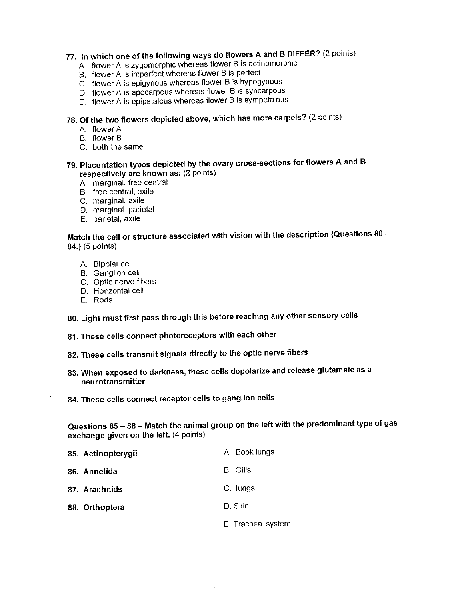# 77. In which one of the following ways do flowers A and B DIFFER? (2 points)

- A. flower A is zygomorphic whereas flower B is actinomorphic
- B. flower A is imperfect whereas flower B is perfect
- C. flower A is epigynous whereas flower B is hypogynous
- D. flower A is apocarpous whereas flower B is syncarpous
- E. flower A is epipetalous whereas flower B is sympetalous

# 78. Of the two flowers depicted above, which has more carpels? (2 points)

- A. flower A
- B. flower B
- C. both the same
- 79. Placentation types depicted by the ovary cross-sections for flowers A and B respectively are known as: (2 points)
	- A. marginal, free central
	- B. free central, axile
	- C. marginal, axile
	- D. marginal, parietal
	- E. parietal, axile

Match the cell or structure associated with vision with the description (Questions 80 -84.) (5 points)

- A. Bipolar cell
- B. Ganglion cell
- C. Optic nerve fibers
- D. Horizontal cell
- F. Rods

80. Light must first pass through this before reaching any other sensory cells

- 81. These cells connect photoreceptors with each other
- 82. These cells transmit signals directly to the optic nerve fibers
- 83. When exposed to darkness, these cells depolarize and release glutamate as a neurotransmitter
- 84. These cells connect receptor cells to ganglion cells

Questions 85 - 88 - Match the animal group on the left with the predominant type of gas exchange given on the left. (4 points)

| 85. Actinopterygii | A. Book lungs |
|--------------------|---------------|
| 86. Annelida       | B. Gills      |
| 87. Arachnids      | C. lungs      |
| 88. Orthoptera     | D. Skin       |
|                    |               |

E. Tracheal system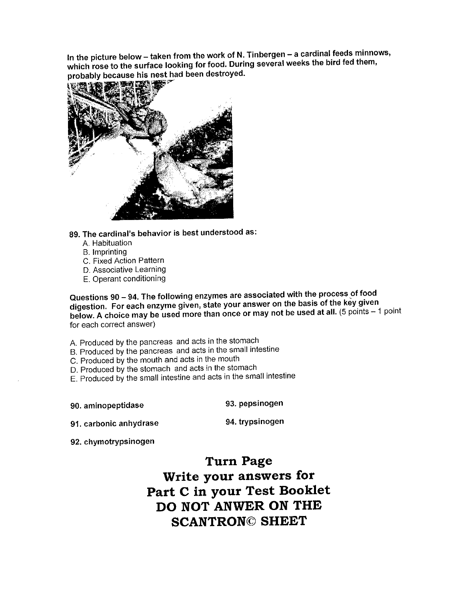In the picture below - taken from the work of N. Tinbergen - a cardinal feeds minnows, which rose to the surface looking for food. During several weeks the bird fed them, probably because his nest had been destroyed.



89. The cardinal's behavior is best understood as:

- A. Habituation
- **B.** Imprinting
- C. Fixed Action Pattern
- D. Associative Learning
- E. Operant conditioning

Questions 90 - 94. The following enzymes are associated with the process of food digestion. For each enzyme given, state your answer on the basis of the key given below. A choice may be used more than once or may not be used at all. (5 points - 1 point for each correct answer)

- A. Produced by the pancreas and acts in the stomach
- B. Produced by the pancreas and acts in the small intestine
- C. Produced by the mouth and acts in the mouth
- D. Produced by the stomach and acts in the stomach
- E. Produced by the small intestine and acts in the small intestine

90. aminopeptidase

93. pepsinogen

91. carbonic anhydrase

94. trypsinogen

92. chymotrypsinogen

**Turn Page** Write your answers for Part C in your Test Booklet DO NOT ANWER ON THE **SCANTRON© SHEET**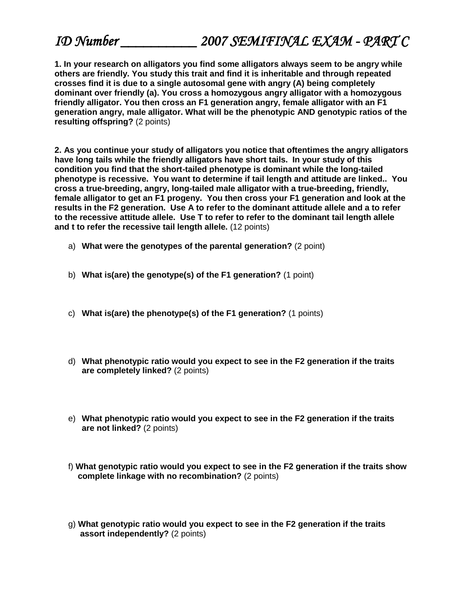**1. In your research on alligators you find some alligators always seem to be angry while others are friendly. You study this trait and find it is inheritable and through repeated crosses find it is due to a single autosomal gene with angry (A) being completely dominant over friendly (a). You cross a homozygous angry alligator with a homozygous friendly alligator. You then cross an F1 generation angry, female alligator with an F1 generation angry, male alligator. What will be the phenotypic AND genotypic ratios of the resulting offspring?** (2 points)

**2. As you continue your study of alligators you notice that oftentimes the angry alligators have long tails while the friendly alligators have short tails. In your study of this condition you find that the short-tailed phenotype is dominant while the long-tailed phenotype is recessive. You want to determine if tail length and attitude are linked.. You cross a true-breeding, angry, long-tailed male alligator with a true-breeding, friendly, female alligator to get an F1 progeny. You then cross your F1 generation and look at the results in the F2 generation. Use A to refer to the dominant attitude allele and a to refer to the recessive attitude allele. Use T to refer to refer to the dominant tail length allele and t to refer the recessive tail length allele.** (12 points)

- a) **What were the genotypes of the parental generation?** (2 point)
- b) **What is(are) the genotype(s) of the F1 generation?** (1 point)
- c) **What is(are) the phenotype(s) of the F1 generation?** (1 points)
- d) **What phenotypic ratio would you expect to see in the F2 generation if the traits are completely linked?** (2 points)
- e) **What phenotypic ratio would you expect to see in the F2 generation if the traits are not linked?** (2 points)
- f) **What genotypic ratio would you expect to see in the F2 generation if the traits show complete linkage with no recombination?** (2 points)
- g) **What genotypic ratio would you expect to see in the F2 generation if the traits assort independently?** (2 points)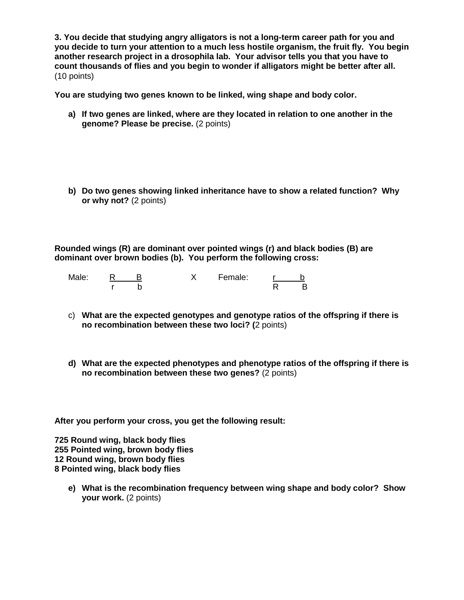**3. You decide that studying angry alligators is not a long-term career path for you and you decide to turn your attention to a much less hostile organism, the fruit fly. You begin another research project in a drosophila lab. Your advisor tells you that you have to count thousands of flies and you begin to wonder if alligators might be better after all.**  (10 points)

**You are studying two genes known to be linked, wing shape and body color.** 

- **a) If two genes are linked, where are they located in relation to one another in the genome? Please be precise.** (2 points)
- **b) Do two genes showing linked inheritance have to show a related function? Why or why not?** (2 points)

**Rounded wings (R) are dominant over pointed wings (r) and black bodies (B) are dominant over brown bodies (b). You perform the following cross:**

Male: <u>R B</u> X Female: <u>r b</u> r b R B

- c) **What are the expected genotypes and genotype ratios of the offspring if there is no recombination between these two loci? (**2 points)
- **d) What are the expected phenotypes and phenotype ratios of the offspring if there is no recombination between these two genes?** (2 points)

**After you perform your cross, you get the following result:**

**725 Round wing, black body flies 255 Pointed wing, brown body flies 12 Round wing, brown body flies 8 Pointed wing, black body flies**

**e) What is the recombination frequency between wing shape and body color? Show your work.** (2 points)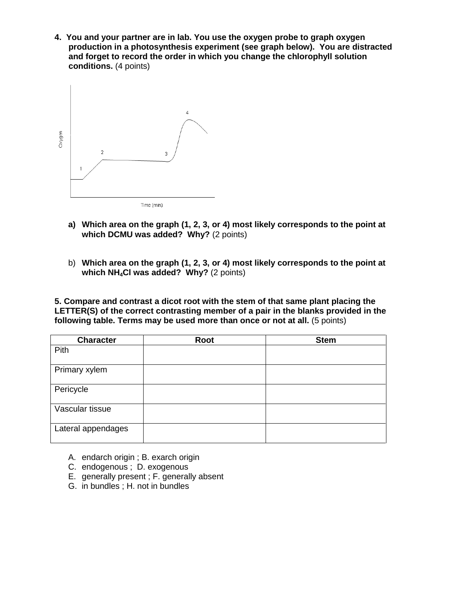**4. You and your partner are in lab. You use the oxygen probe to graph oxygen production in a photosynthesis experiment (see graph below). You are distracted and forget to record the order in which you change the chlorophyll solution conditions.** (4 points)



- **a) Which area on the graph (1, 2, 3, or 4) most likely corresponds to the point at which DCMU was added? Why?** (2 points)
- b) **Which area on the graph (1, 2, 3, or 4) most likely corresponds to the point at which NH4Cl was added? Why?** (2 points)

**5. Compare and contrast a dicot root with the stem of that same plant placing the LETTER(S) of the correct contrasting member of a pair in the blanks provided in the following table. Terms may be used more than once or not at all.** (5 points)

| <b>Character</b>   | <b>Root</b> | <b>Stem</b> |
|--------------------|-------------|-------------|
| Pith               |             |             |
| Primary xylem      |             |             |
| Pericycle          |             |             |
| Vascular tissue    |             |             |
| Lateral appendages |             |             |

- A. endarch origin ; B. exarch origin
- C. endogenous ; D. exogenous
- E. generally present ; F. generally absent
- G. in bundles ; H. not in bundles